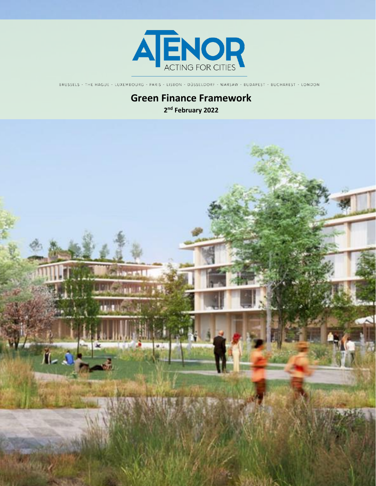

BRUSSELS - THE HAGUE - LUXEMBOURG - PARIS - LISBON - DÜSSELDORF - WARSAW - BUDAPEST - BUCHAREST - LONDON

# **Green Finance Framework 2 nd February 2022**

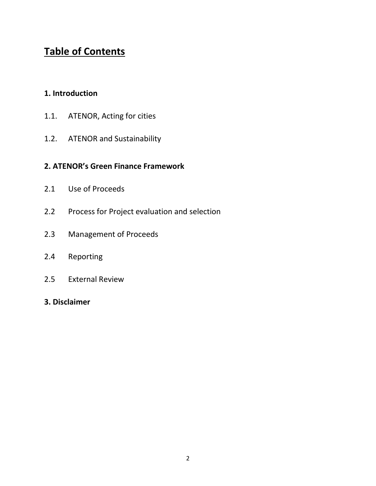# **Table of Contents**

# **1. Introduction**

- 1.1. ATENOR, Acting for cities
- 1.2. ATENOR and Sustainability

# **2. ATENOR's Green Finance Framework**

- 2.1 Use of Proceeds
- 2.2 Process for Project evaluation and selection
- 2.3 Management of Proceeds
- 2.4 Reporting
- 2.5 External Review
- **3. Disclaimer**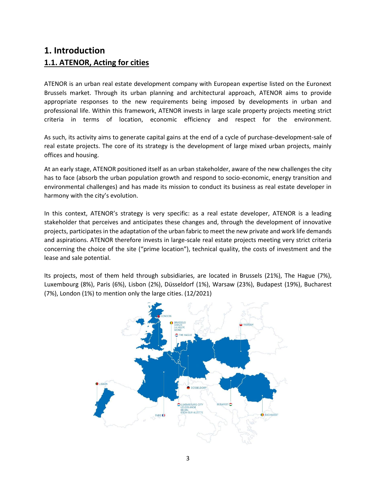# **1. Introduction 1.1. ATENOR, Acting for cities**

ATENOR is an urban real estate development company with European expertise listed on the Euronext Brussels market. Through its urban planning and architectural approach, ATENOR aims to provide appropriate responses to the new requirements being imposed by developments in urban and professional life. Within this framework, ATENOR invests in large scale property projects meeting strict criteria in terms of location, economic efficiency and respect for the environment.

As such, its activity aims to generate capital gains at the end of a cycle of purchase-development-sale of real estate projects. The core of its strategy is the development of large mixed urban projects, mainly offices and housing.

At an early stage, ATENOR positioned itself as an urban stakeholder, aware of the new challenges the city has to face (absorb the urban population growth and respond to socio-economic, energy transition and environmental challenges) and has made its mission to conduct its business as real estate developer in harmony with the city's evolution.

In this context, ATENOR's strategy is very specific: as a real estate developer, ATENOR is a leading stakeholder that perceives and anticipates these changes and, through the development of innovative projects, participates in the adaptation of the urban fabric to meet the new private and work life demands and aspirations. ATENOR therefore invests in large-scale real estate projects meeting very strict criteria concerning the choice of the site ("prime location"), technical quality, the costs of investment and the lease and sale potential.

Its projects, most of them held through subsidiaries, are located in Brussels (21%), The Hague (7%), Luxembourg (8%), Paris (6%), Lisbon (2%), Düsseldorf (1%), Warsaw (23%), Budapest (19%), Bucharest (7%), London (1%) to mention only the large cities. (12/2021)

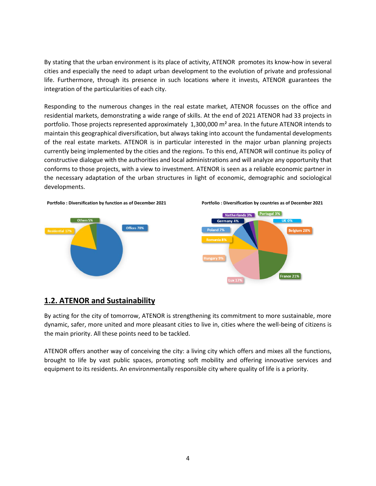By stating that the urban environment is its place of activity, ATENOR promotes its know-how in several cities and especially the need to adapt urban development to the evolution of private and professional life. Furthermore, through its presence in such locations where it invests, ATENOR guarantees the integration of the particularities of each city.

Responding to the numerous changes in the real estate market, ATENOR focusses on the office and residential markets, demonstrating a wide range of skills. At the end of 2021 ATENOR had 33 projects in portfolio. Those projects represented approximately 1,300,000 m<sup>2</sup> area. In the future ATENOR intends to maintain this geographical diversification, but always taking into account the fundamental developments of the real estate markets. ATENOR is in particular interested in the major urban planning projects currently being implemented by the cities and the regions. To this end, ATENOR will continue its policy of constructive dialogue with the authorities and local administrations and will analyze any opportunity that conforms to those projects, with a view to investment. ATENOR is seen as a reliable economic partner in the necessary adaptation of the urban structures in light of economic, demographic and sociological developments.





### **1.2. ATENOR and Sustainability**

By acting for the city of tomorrow, ATENOR is strengthening its commitment to more sustainable, more dynamic, safer, more united and more pleasant cities to live in, cities where the well-being of citizens is the main priority. All these points need to be tackled.

ATENOR offers another way of conceiving the city: a living city which offers and mixes all the functions, brought to life by vast public spaces, promoting soft mobility and offering innovative services and equipment to its residents. An environmentally responsible city where quality of life is a priority.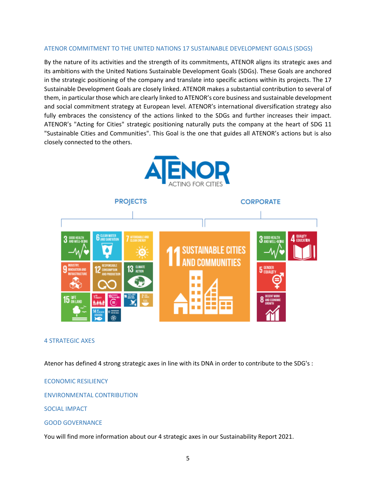#### ATENOR COMMITMENT TO THE UNITED NATIONS 17 SUSTAINABLE DEVELOPMENT GOALS (SDGS)

By the nature of its activities and the strength of its commitments, ATENOR aligns its strategic axes and its ambitions with the United Nations Sustainable Development Goals (SDGs). These Goals are anchored in the strategic positioning of the company and translate into specific actions within its projects. The 17 Sustainable Development Goals are closely linked. ATENOR makes a substantial contribution to several of them, in particular those which are clearly linked to ATENOR's core business and sustainable development and social commitment strategy at European level. ATENOR's international diversification strategy also fully embraces the consistency of the actions linked to the SDGs and further increases their impact. ATENOR's "Acting for Cities" strategic positioning naturally puts the company at the heart of SDG 11 "Sustainable Cities and Communities". This Goal is the one that guides all ATENOR's actions but is also closely connected to the others.





#### 4 STRATEGIC AXES

Atenor has defined 4 strong strategic axes in line with its DNA in order to contribute to the SDG's :

#### ECONOMIC RESILIENCY

#### ENVIRONMENTAL CONTRIBUTION

SOCIAL IMPACT

#### GOOD GOVERNANCE

You will find more information about our 4 strategic axes in our Sustainability Report 2021.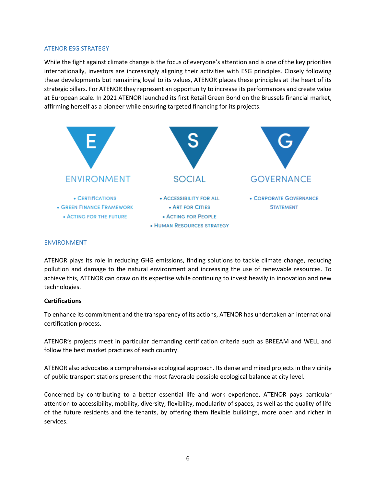#### ATENOR ESG STRATEGY

While the fight against climate change is the focus of everyone's attention and is one of the key priorities internationally, investors are increasingly aligning their activities with ESG principles. Closely following these developments but remaining loyal to its values, ATENOR places these principles at the heart of its strategic pillars. For ATENOR they represent an opportunity to increase its performances and create value at European scale. In 2021 ATENOR launched its first Retail Green Bond on the Brussels financial market, affirming herself as a pioneer while ensuring targeted financing for its projects.



#### ENVIRONMENT

ATENOR plays its role in reducing GHG emissions, finding solutions to tackle climate change, reducing pollution and damage to the natural environment and increasing the use of renewable resources. To achieve this, ATENOR can draw on its expertise while continuing to invest heavily in innovation and new technologies.

#### **Certifications**

To enhance its commitment and the transparency of its actions, ATENOR has undertaken an international certification process.

ATENOR's projects meet in particular demanding certification criteria such as BREEAM and WELL and follow the best market practices of each country.

ATENOR also advocates a comprehensive ecological approach. Its dense and mixed projects in the vicinity of public transport stations present the most favorable possible ecological balance at city level.

Concerned by contributing to a better essential life and work experience, ATENOR pays particular attention to accessibility, mobility, diversity, flexibility, modularity of spaces, as well as the quality of life of the future residents and the tenants, by offering them flexible buildings, more open and richer in services.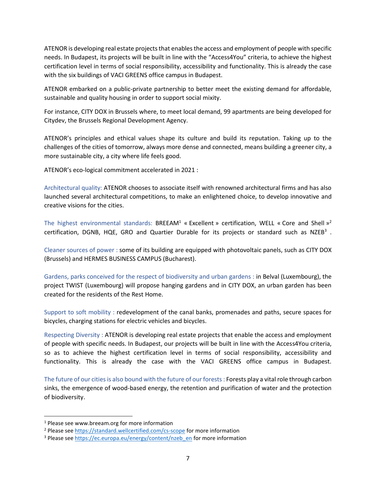ATENOR is developing real estate projects that enablesthe access and employment of people with specific needs. In Budapest, its projects will be built in line with the "Access4You" criteria, to achieve the highest certification level in terms of social responsibility, accessibility and functionality. This is already the case with the six buildings of VACI GREENS office campus in Budapest.

ATENOR embarked on a public-private partnership to better meet the existing demand for affordable, sustainable and quality housing in order to support social mixity.

For instance, CITY DOX in Brussels where, to meet local demand, 99 apartments are being developed for Citydev, the Brussels Regional Development Agency.

ATENOR's principles and ethical values shape its culture and build its reputation. Taking up to the challenges of the cities of tomorrow, always more dense and connected, means building a greener city, a more sustainable city, a city where life feels good.

ATENOR's eco-logical commitment accelerated in 2021 :

Architectural quality: ATENOR chooses to associate itself with renowned architectural firms and has also launched several architectural competitions, to make an enlightened choice, to develop innovative and creative visions for the cities.

The highest environmental standards: BREEAM<sup>1</sup> « Excellent » certification, WELL « Core and Shell »<sup>2</sup> certification, DGNB, HQE, GRO and Quartier Durable for its projects or standard such as NZEB<sup>3</sup>.

Cleaner sources of power : some of its building are equipped with photovoltaic panels, such as CITY DOX (Brussels) and HERMES BUSINESS CAMPUS (Bucharest).

Gardens, parks conceived for the respect of biodiversity and urban gardens : in Belval (Luxembourg), the project TWIST (Luxembourg) will propose hanging gardens and in CITY DOX, an urban garden has been created for the residents of the Rest Home.

Support to soft mobility : redevelopment of the canal banks, promenades and paths, secure spaces for bicycles, charging stations for electric vehicles and bicycles.

Respecting Diversity : ATENOR is developing real estate projects that enable the access and employment of people with specific needs. In Budapest, our projects will be built in line with the Access4You criteria, so as to achieve the highest certification level in terms of social responsibility, accessibility and functionality. This is already the case with the VACI GREENS office campus in Budapest.

The future of our cities is also bound with the future of our forests : Forests play a vital role through carbon sinks, the emergence of wood-based energy, the retention and purification of water and the protection of biodiversity.

<sup>&</sup>lt;sup>1</sup> Please see www.breeam.org for more information

<sup>&</sup>lt;sup>2</sup> Please see<https://standard.wellcertified.com/cs-scope> for more information

<sup>&</sup>lt;sup>3</sup> Please see [https://ec.europa.eu/energy/content/nzeb\\_en](https://ec.europa.eu/energy/content/nzeb_en) for more information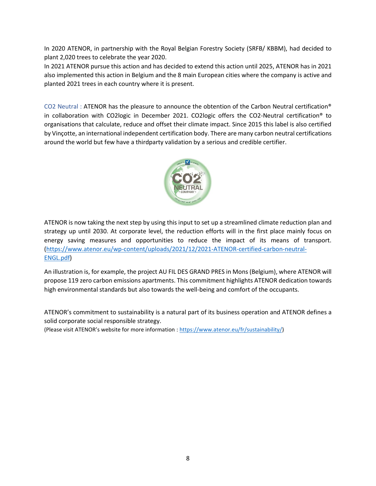In 2020 ATENOR, in partnership with the Royal Belgian Forestry Society (SRFB/ KBBM), had decided to plant 2,020 trees to celebrate the year 2020.

In 2021 ATENOR pursue this action and has decided to extend this action until 2025, ATENOR has in 2021 also implemented this action in Belgium and the 8 main European cities where the company is active and planted 2021 trees in each country where it is present.

CO2 Neutral : ATENOR has the pleasure to announce the obtention of the Carbon Neutral certification® in collaboration with CO2logic in December 2021. CO2logic offers the CO2-Neutral certification® to organisations that calculate, reduce and offset their climate impact. Since 2015 this label is also certified by Vinçotte, an international independent certification body. There are many carbon neutral certifications around the world but few have a thirdparty validation by a serious and credible certifier.



ATENOR is now taking the next step by using this input to set up a streamlined climate reduction plan and strategy up until 2030. At corporate level, the reduction efforts will in the first place mainly focus on energy saving measures and opportunities to reduce the impact of its means of transport. [\(https://www.atenor.eu/wp-content/uploads/2021/12/2021-ATENOR-certified-carbon-neutral-](https://www.atenor.eu/wp-content/uploads/2021/12/2021-ATENOR-certified-carbon-neutral-ENGL.pdf)[ENGL.pdf\)](https://www.atenor.eu/wp-content/uploads/2021/12/2021-ATENOR-certified-carbon-neutral-ENGL.pdf)

An illustration is, for example, the project AU FIL DES GRAND PRES in Mons (Belgium), where ATENOR will propose 119 zero carbon emissions apartments. This commitment highlights ATENOR dedication towards high environmental standards but also towards the well-being and comfort of the occupants.

ATENOR's commitment to sustainability is a natural part of its business operation and ATENOR defines a solid corporate social responsible strategy.

(Please visit ATENOR's website for more information [: https://www.atenor.eu/fr/sustainability/\)](https://www.atenor.eu/fr/sustainability/)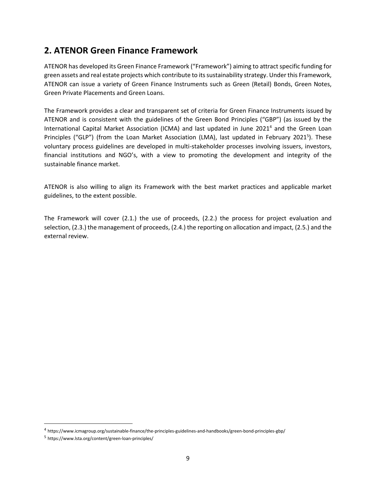# **2. ATENOR Green Finance Framework**

ATENOR has developed its Green Finance Framework ("Framework") aiming to attract specific funding for green assets and real estate projects which contribute to itssustainability strategy. Under this Framework, ATENOR can issue a variety of Green Finance Instruments such as Green (Retail) Bonds, Green Notes, Green Private Placements and Green Loans.

The Framework provides a clear and transparent set of criteria for Green Finance Instruments issued by ATENOR and is consistent with the guidelines of the Green Bond Principles ("GBP") (as issued by the International Capital Market Association (ICMA) and last updated in June 2021<sup>4</sup> and the Green Loan Principles ("GLP") (from the Loan Market Association (LMA), last updated in February 2021<sup>5</sup>). These voluntary process guidelines are developed in multi-stakeholder processes involving issuers, investors, financial institutions and NGO's, with a view to promoting the development and integrity of the sustainable finance market.

ATENOR is also willing to align its Framework with the best market practices and applicable market guidelines, to the extent possible.

The Framework will cover (2.1.) the use of proceeds, (2.2.) the process for project evaluation and selection, (2.3.) the management of proceeds, (2.4.) the reporting on allocation and impact, (2.5.) and the external review.

<sup>4</sup> https://www.icmagroup.org/sustainable-finance/the-principles-guidelines-and-handbooks/green-bond-principles-gbp/

<sup>5</sup> https://www.lsta.org/content/green-loan-principles/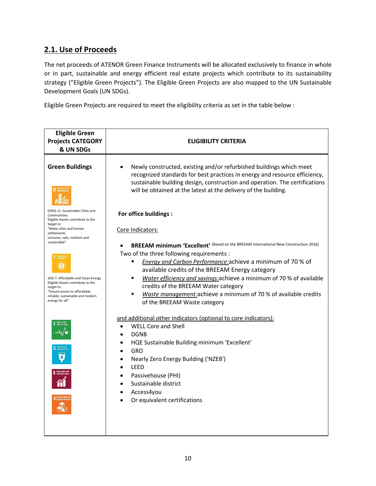# **2.1. Use of Proceeds**

The net proceeds of ATENOR Green Finance Instruments will be allocated exclusively to finance in whole or in part, sustainable and energy efficient real estate projects which contribute to its sustainability strategy ("Eligible Green Projects"). The Eligible Green Projects are also mapped to the UN Sustainable Development Goals (UN SDGs).

Eligible Green Projects are required to meet the eligibility criteria as set in the table below :

| <b>Eligible Green</b><br><b>Projects CATEGORY</b><br>& UN SDGs                                                                                                                | <b>ELIGIBILITY CRITERIA</b>                                                                                                                                                                                                                                                                                                                                                                                                                                                            |  |  |
|-------------------------------------------------------------------------------------------------------------------------------------------------------------------------------|----------------------------------------------------------------------------------------------------------------------------------------------------------------------------------------------------------------------------------------------------------------------------------------------------------------------------------------------------------------------------------------------------------------------------------------------------------------------------------------|--|--|
| <b>Green Buildings</b>                                                                                                                                                        | Newly constructed, existing and/or refurbished buildings which meet<br>recognized standards for best practices in energy and resource efficiency,<br>sustainable building design, construction and operation. The certifications<br>will be obtained at the latest at the delivery of the building.                                                                                                                                                                                    |  |  |
| GSDG 11: Sustainable Cities and<br>Communities<br>Eligible Assets contribute to the<br>target to                                                                              | For office buildings :                                                                                                                                                                                                                                                                                                                                                                                                                                                                 |  |  |
| "Make cities and human<br>settlements<br>inclusive, safe, resilient and<br>sustainable"                                                                                       | Core Indicators:                                                                                                                                                                                                                                                                                                                                                                                                                                                                       |  |  |
| SDG 7: Affordable and Clean Energy<br>Eligible Assets contribute to the<br>target to<br>"Ensure access to affordable,<br>reliable, sustainable and modern<br>energy for all". | BREEAM minimum 'Excellent' (Based on the BREEAM International New Construction 2016)<br>Two of the three following requirements :<br>Energy and Carbon Performance: achieve a minimum of 70 % of<br>٠<br>available credits of the BREEAM Energy category<br>Water efficiency and savings: achieve a minimum of 70 % of available<br>٠<br>credits of the BREEAM Water category<br>Waste management: achieve a minimum of 70 % of available credits<br>٠<br>of the BREEAM Waste category |  |  |
|                                                                                                                                                                               | and additional other indicators (optional to core indicators):<br><b>WELL Core and Shell</b><br><b>DGNB</b><br>HQE Sustainable Building minimum 'Excellent'<br><b>GRO</b><br>Nearly Zero Energy Building ('NZEB')<br><b>LEED</b><br>Passivehouse (PHI)<br>Sustainable district<br>Access4you<br>Or equivalent certifications                                                                                                                                                           |  |  |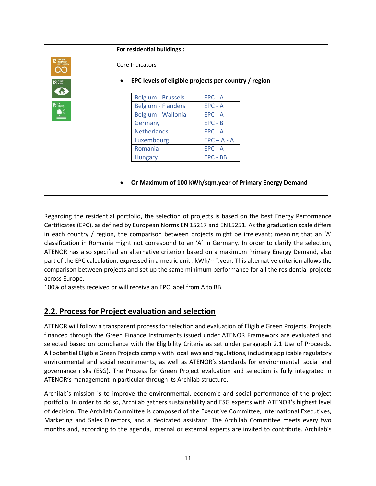|                                                                                                                                                                                                                                                                                                                                                     | For residential buildings :                                       |               |                                                         |  |
|-----------------------------------------------------------------------------------------------------------------------------------------------------------------------------------------------------------------------------------------------------------------------------------------------------------------------------------------------------|-------------------------------------------------------------------|---------------|---------------------------------------------------------|--|
| <b>2</b> RESPONSIBLE<br>AND FRODUCTION<br>QO                                                                                                                                                                                                                                                                                                        | Core Indicators:                                                  |               |                                                         |  |
| <b>13 липн</b><br>S                                                                                                                                                                                                                                                                                                                                 | EPC levels of eligible projects per country / region<br>$\bullet$ |               |                                                         |  |
|                                                                                                                                                                                                                                                                                                                                                     | <b>Belgium - Brussels</b>                                         | $EPC - A$     |                                                         |  |
|                                                                                                                                                                                                                                                                                                                                                     | <b>Belgium - Flanders</b>                                         | $EPC - A$     |                                                         |  |
| $\begin{picture}(15,15) \put(0,0){\line(1,0){15}} \put(15,0){\line(1,0){15}} \put(15,0){\line(1,0){15}} \put(15,0){\line(1,0){15}} \put(15,0){\line(1,0){15}} \put(15,0){\line(1,0){15}} \put(15,0){\line(1,0){15}} \put(15,0){\line(1,0){15}} \put(15,0){\line(1,0){15}} \put(15,0){\line(1,0){15}} \put(15,0){\line(1,0){15}} \put(15,0){\line(1$ | Belgium - Wallonia                                                | $EPC - A$     |                                                         |  |
|                                                                                                                                                                                                                                                                                                                                                     | Germany                                                           | $EPC - B$     |                                                         |  |
|                                                                                                                                                                                                                                                                                                                                                     | <b>Netherlands</b>                                                | $EPC - A$     |                                                         |  |
|                                                                                                                                                                                                                                                                                                                                                     | Luxembourg                                                        | $EPC - A - A$ |                                                         |  |
|                                                                                                                                                                                                                                                                                                                                                     | Romania                                                           | $EPC - A$     |                                                         |  |
|                                                                                                                                                                                                                                                                                                                                                     | <b>Hungary</b>                                                    | $EPC - BB$    |                                                         |  |
|                                                                                                                                                                                                                                                                                                                                                     |                                                                   |               |                                                         |  |
|                                                                                                                                                                                                                                                                                                                                                     |                                                                   |               |                                                         |  |
|                                                                                                                                                                                                                                                                                                                                                     |                                                                   |               |                                                         |  |
|                                                                                                                                                                                                                                                                                                                                                     | $\bullet$                                                         |               | Or Maximum of 100 kWh/sqm.year of Primary Energy Demand |  |

Regarding the residential portfolio, the selection of projects is based on the best Energy Performance Certificates (EPC), as defined by European Norms EN 15217 and EN15251. As the graduation scale differs in each country / region, the comparison between projects might be irrelevant; meaning that an 'A' classification in Romania might not correspond to an 'A' in Germany. In order to clarify the selection, ATENOR has also specified an alternative criterion based on a maximum Primary Energy Demand, also part of the EPC calculation, expressed in a metric unit : kWh/m².year. This alternative criterion allows the comparison between projects and set up the same minimum performance for all the residential projects across Europe.

100% of assets received or will receive an EPC label from A to BB.

### **2.2. Process for Project evaluation and selection**

ATENOR will follow a transparent process for selection and evaluation of Eligible Green Projects. Projects financed through the Green Finance Instruments issued under ATENOR Framework are evaluated and selected based on compliance with the Eligibility Criteria as set under paragraph 2.1 Use of Proceeds. All potential Eligible Green Projects comply with local laws and regulations, including applicable regulatory environmental and social requirements, as well as ATENOR's standards for environmental, social and governance risks (ESG). The Process for Green Project evaluation and selection is fully integrated in ATENOR's management in particular through its Archilab structure.

Archilab's mission is to improve the environmental, economic and social performance of the project portfolio. In order to do so, Archilab gathers sustainability and ESG experts with ATENOR's highest level of decision. The Archilab Committee is composed of the Executive Committee, International Executives, Marketing and Sales Directors, and a dedicated assistant. The Archilab Committee meets every two months and, according to the agenda, internal or external experts are invited to contribute. Archilab's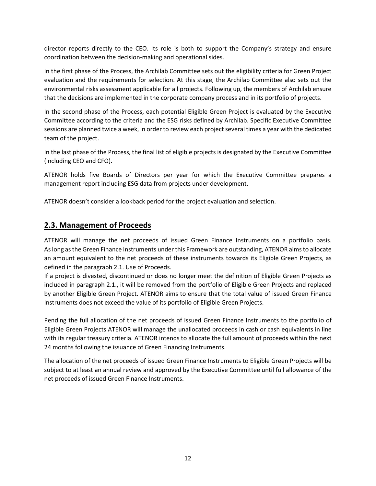director reports directly to the CEO. Its role is both to support the Company's strategy and ensure coordination between the decision-making and operational sides.

In the first phase of the Process, the Archilab Committee sets out the eligibility criteria for Green Project evaluation and the requirements for selection. At this stage, the Archilab Committee also sets out the environmental risks assessment applicable for all projects. Following up, the members of Archilab ensure that the decisions are implemented in the corporate company process and in its portfolio of projects.

In the second phase of the Process, each potential Eligible Green Project is evaluated by the Executive Committee according to the criteria and the ESG risks defined by Archilab. Specific Executive Committee sessions are planned twice a week, in order to review each project several times a year with the dedicated team of the project.

In the last phase of the Process, the final list of eligible projects is designated by the Executive Committee (including CEO and CFO).

ATENOR holds five Boards of Directors per year for which the Executive Committee prepares a management report including ESG data from projects under development.

ATENOR doesn't consider a lookback period for the project evaluation and selection.

### **2.3. Management of Proceeds**

ATENOR will manage the net proceeds of issued Green Finance Instruments on a portfolio basis. As long as the Green Finance Instruments under this Framework are outstanding, ATENOR aims to allocate an amount equivalent to the net proceeds of these instruments towards its Eligible Green Projects, as defined in the paragraph 2.1. Use of Proceeds.

If a project is divested, discontinued or does no longer meet the definition of Eligible Green Projects as included in paragraph 2.1., it will be removed from the portfolio of Eligible Green Projects and replaced by another Eligible Green Project. ATENOR aims to ensure that the total value of issued Green Finance Instruments does not exceed the value of its portfolio of Eligible Green Projects.

Pending the full allocation of the net proceeds of issued Green Finance Instruments to the portfolio of Eligible Green Projects ATENOR will manage the unallocated proceeds in cash or cash equivalents in line with its regular treasury criteria. ATENOR intends to allocate the full amount of proceeds within the next 24 months following the issuance of Green Financing Instruments.

The allocation of the net proceeds of issued Green Finance Instruments to Eligible Green Projects will be subject to at least an annual review and approved by the Executive Committee until full allowance of the net proceeds of issued Green Finance Instruments.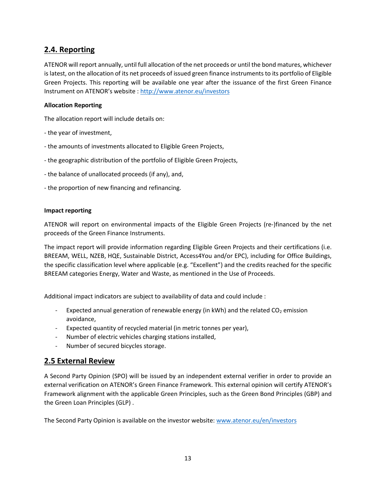## **2.4. Reporting**

ATENOR will report annually, until full allocation of the net proceeds or until the bond matures, whichever is latest, on the allocation of its net proceeds of issued green finance instruments to its portfolio of Eligible Green Projects. This reporting will be available one year after the issuance of the first Green Finance Instrument on ATENOR's website : [http://www.atenor.eu/in](http://www.atenor.eu/)vestors

#### **Allocation Reporting**

The allocation report will include details on:

- the year of investment,
- the amounts of investments allocated to Eligible Green Projects,
- the geographic distribution of the portfolio of Eligible Green Projects,
- the balance of unallocated proceeds (if any), and,
- the proportion of new financing and refinancing.

#### **Impact reporting**

ATENOR will report on environmental impacts of the Eligible Green Projects (re-)financed by the net proceeds of the Green Finance Instruments.

The impact report will provide information regarding Eligible Green Projects and their certifications (i.e. BREEAM, WELL, NZEB, HQE, Sustainable District, Access4You and/or EPC), including for Office Buildings, the specific classification level where applicable (e.g. "Excellent") and the credits reached for the specific BREEAM categories Energy, Water and Waste, as mentioned in the Use of Proceeds.

Additional impact indicators are subject to availability of data and could include :

- Expected annual generation of renewable energy (in kWh) and the related  $CO<sub>2</sub>$  emission avoidance,
- Expected quantity of recycled material (in metric tonnes per year),
- Number of electric vehicles charging stations installed,
- Number of secured bicycles storage.

### **2.5 External Review**

A Second Party Opinion (SPO) will be issued by an independent external verifier in order to provide an external verification on ATENOR's Green Finance Framework. This external opinion will certify ATENOR's Framework alignment with the applicable Green Principles, such as the Green Bond Principles (GBP) and the Green Loan Principles (GLP) .

The Second Party Opinion is available on the investor website: [www.atenor.eu/en/investors](http://www.atenor.eu/en/investors)